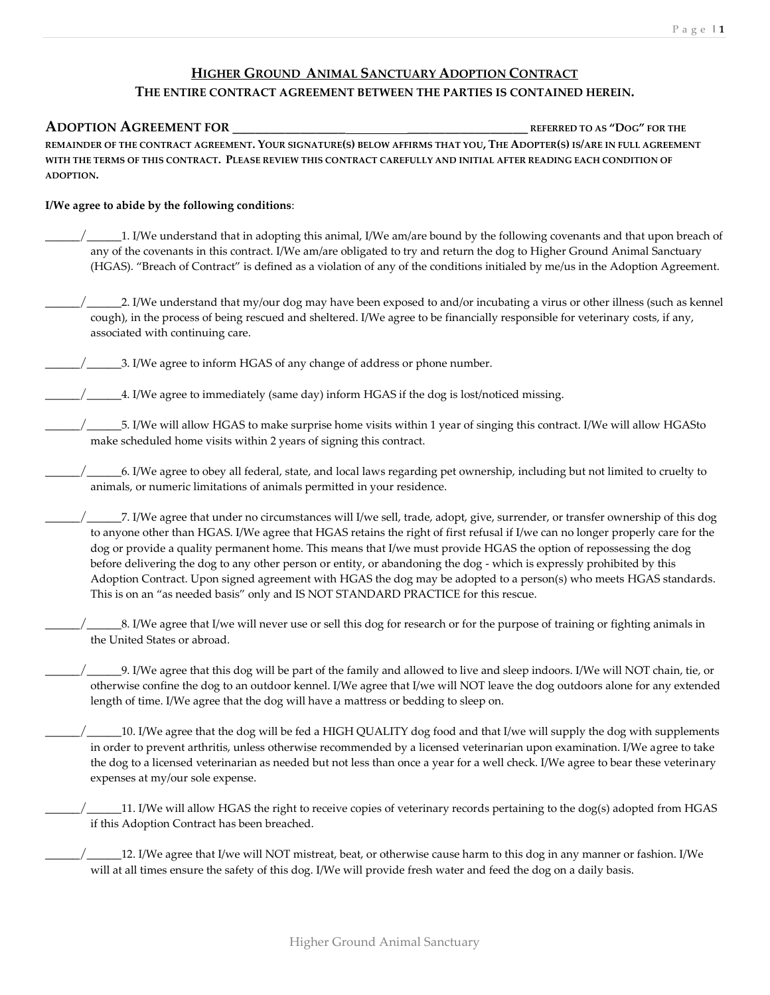## **HIGHER GROUND ANIMAL SANCTUARY ADOPTION CONTRACT**

## **THE ENTIRE CONTRACT AGREEMENT BETWEEN THE PARTIES IS CONTAINED HEREIN.**

## **ADOPTION AGREEMENT FOR \_\_\_\_\_\_\_\_\_\_\_\_\_\_\_ \_\_\_\_\_\_\_\_\_\_\_\_\_\_\_\_ REFERRED TO AS "DOG" FOR THE**  REMAINDER OF THE CONTRACT AGREEMENT. YOUR SIGNATURE(S) BELOW AFFIRMS THAT YOU, THE ADOPTER(S) IS/ARE IN FULL AGREEMENT **WITH THE TERMS OF THIS CONTRACT. PLEASE REVIEW THIS CONTRACT CAREFULLY AND INITIAL AFTER READING EACH CONDITION OF ADOPTION.**

## **I/We agree to abide by the following conditions**:

- \_\_\_\_\_/\_\_\_\_\_1. I/We understand that in adopting this animal, I/We am/are bound by the following covenants and that upon breach of any of the covenants in this contract. I/We am/are obligated to try and return the dog to Higher Ground Animal Sanctuary (HGAS). "Breach of Contract" is defined as a violation of any of the conditions initialed by me/us in the Adoption Agreement.
- 2. I/We understand that my/our dog may have been exposed to and/or incubating a virus or other illness (such as kennel cough), in the process of being rescued and sheltered. I/We agree to be financially responsible for veterinary costs, if any, associated with continuing care.
- $\frac{1}{2}$  3. I/We agree to inform HGAS of any change of address or phone number.
- $\frac{1}{2}$   $\frac{1}{2}$   $\frac{1}{2}$ . I/We agree to immediately (same day) inform HGAS if the dog is lost/noticed missing.
	- \_\_\_\_\_/\_\_\_\_\_5. I/We will allow HGAS to make surprise home visits within 1 year of singing this contract. I/We will allow HGASto make scheduled home visits within 2 years of signing this contract.
- \_\_\_\_\_/\_\_\_\_\_6. I/We agree to obey all federal, state, and local laws regarding pet ownership, including but not limited to cruelty to animals, or numeric limitations of animals permitted in your residence.
- \_\_\_\_\_/\_\_\_\_\_7. I/We agree that under no circumstances will I/we sell, trade, adopt, give, surrender, or transfer ownership of this dog to anyone other than HGAS. I/We agree that HGAS retains the right of first refusal if I/we can no longer properly care for the dog or provide a quality permanent home. This means that I/we must provide HGAS the option of repossessing the dog before delivering the dog to any other person or entity, or abandoning the dog - which is expressly prohibited by this Adoption Contract. Upon signed agreement with HGAS the dog may be adopted to a person(s) who meets HGAS standards. This is on an "as needed basis" only and IS NOT STANDARD PRACTICE for this rescue.
- $\_8$ . I/We agree that I/we will never use or sell this dog for research or for the purpose of training or fighting animals in the United States or abroad.
- \_\_\_\_\_/\_\_\_\_\_9. I/We agree that this dog will be part of the family and allowed to live and sleep indoors. I/We will NOT chain, tie, or otherwise confine the dog to an outdoor kennel. I/We agree that I/we will NOT leave the dog outdoors alone for any extended length of time. I/We agree that the dog will have a mattress or bedding to sleep on.
- \_\_\_\_\_/\_\_\_\_\_10. I/We agree that the dog will be fed a HIGH QUALITY dog food and that I/we will supply the dog with supplements in order to prevent arthritis, unless otherwise recommended by a licensed veterinarian upon examination. I/We agree to take the dog to a licensed veterinarian as needed but not less than once a year for a well check. I/We agree to bear these veterinary expenses at my/our sole expense.
- \_\_\_\_\_/\_\_\_\_\_11. I/We will allow HGAS the right to receive copies of veterinary records pertaining to the dog(s) adopted from HGAS if this Adoption Contract has been breached.
- \_\_\_\_\_/\_\_\_\_\_12. I/We agree that I/we will NOT mistreat, beat, or otherwise cause harm to this dog in any manner or fashion. I/We will at all times ensure the safety of this dog. I/We will provide fresh water and feed the dog on a daily basis.